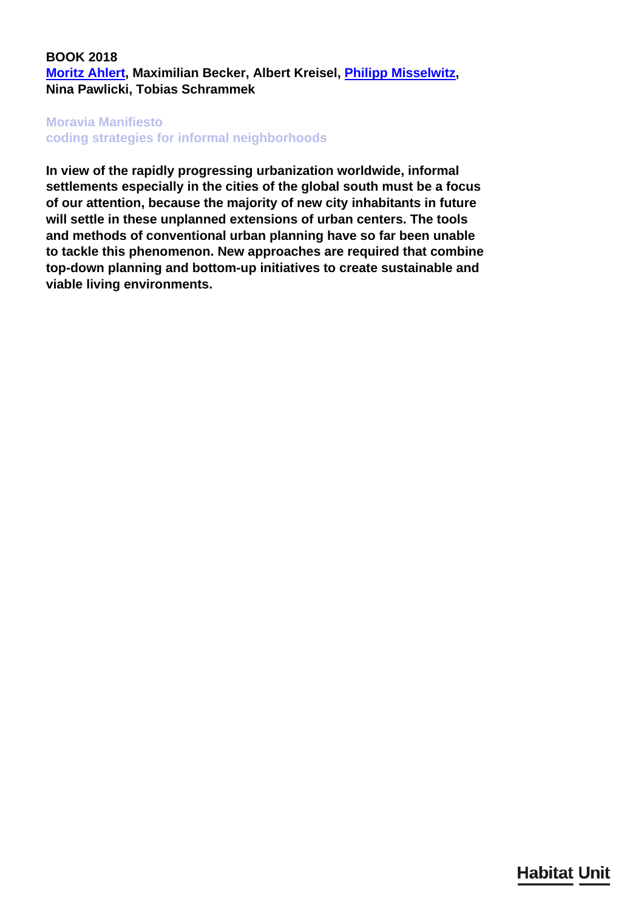## **BOOK 2018 [Moritz Ahlert,](/en/team/mortiz-ahlert/) Maximilian Becker, Albert Kreisel, [Philipp Misselwitz](/en/team/philipp-misselwitz/), Nina Pawlicki, Tobias Schrammek**

## **Moravia Manifiesto**

**coding strategies for informal neighborhoods**

**In view of the rapidly progressing urbanization worldwide, informal settlements especially in the cities of the global south must be a focus of our attention, because the majority of new city inhabitants in future will settle in these unplanned extensions of urban centers. The tools and methods of conventional urban planning have so far been unable to tackle this phenomenon. New approaches are required that combine top-down planning and bottom-up initiatives to create sustainable and viable living environments.**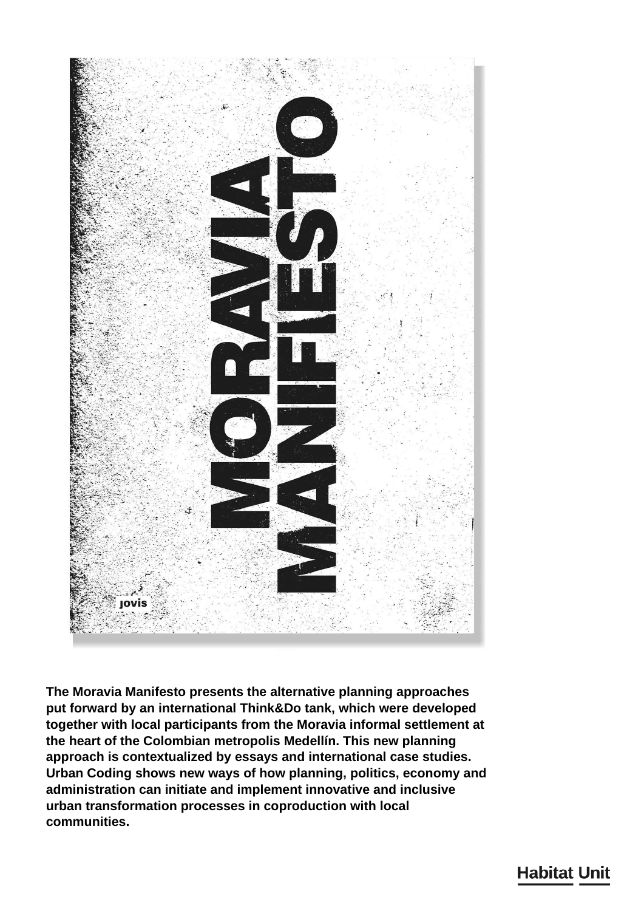

**The Moravia Manifesto presents the alternative planning approaches put forward by an international Think&Do tank, which were developed together with local participants from the Moravia informal settlement at the heart of the Colombian metropolis Medellín. This new planning approach is contextualized by essays and international case studies. Urban Coding shows new ways of how planning, politics, economy and administration can initiate and implement innovative and inclusive urban transformation processes in coproduction with local communities.**